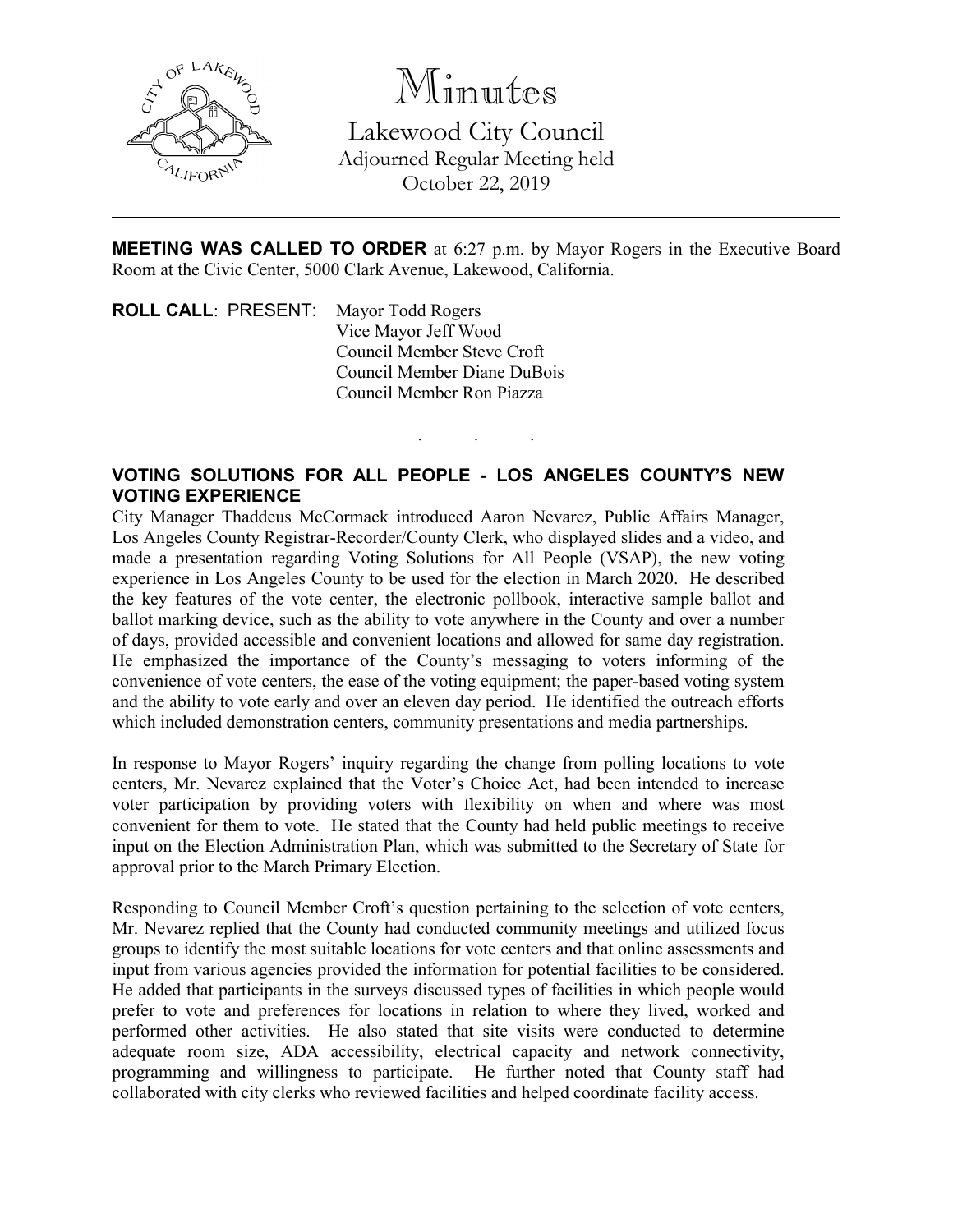

Minutes

Lakewood City Council Adjourned Regular Meeting held October 22, 2019

**MEETING WAS CALLED TO ORDER** at 6:27 p.m. by Mayor Rogers in the Executive Board Room at the Civic Center, 5000 Clark Avenue, Lakewood, California.

**ROLL CALL**: PRESENT: Mayor Todd Rogers Vice Mayor Jeff Wood Council Member Steve Croft Council Member Diane DuBois Council Member Ron Piazza

## **VOTING SOLUTIONS FOR ALL PEOPLE - LOS ANGELES COUNTY'S NEW VOTING EXPERIENCE**

. . .

City Manager Thaddeus McCormack introduced Aaron Nevarez, Public Affairs Manager, Los Angeles County Registrar-Recorder/County Clerk, who displayed slides and a video, and made a presentation regarding Voting Solutions for All People (VSAP), the new voting experience in Los Angeles County to be used for the election in March 2020. He described the key features of the vote center, the electronic pollbook, interactive sample ballot and ballot marking device, such as the ability to vote anywhere in the County and over a number of days, provided accessible and convenient locations and allowed for same day registration. He emphasized the importance of the County's messaging to voters informing of the convenience of vote centers, the ease of the voting equipment; the paper-based voting system and the ability to vote early and over an eleven day period. He identified the outreach efforts which included demonstration centers, community presentations and media partnerships.

In response to Mayor Rogers' inquiry regarding the change from polling locations to vote centers, Mr. Nevarez explained that the Voter's Choice Act, had been intended to increase voter participation by providing voters with flexibility on when and where was most convenient for them to vote. He stated that the County had held public meetings to receive input on the Election Administration Plan, which was submitted to the Secretary of State for approval prior to the March Primary Election.

Responding to Council Member Croft's question pertaining to the selection of vote centers, Mr. Nevarez replied that the County had conducted community meetings and utilized focus groups to identify the most suitable locations for vote centers and that online assessments and input from various agencies provided the information for potential facilities to be considered. He added that participants in the surveys discussed types of facilities in which people would prefer to vote and preferences for locations in relation to where they lived, worked and performed other activities. He also stated that site visits were conducted to determine adequate room size, ADA accessibility, electrical capacity and network connectivity, programming and willingness to participate. He further noted that County staff had collaborated with city clerks who reviewed facilities and helped coordinate facility access.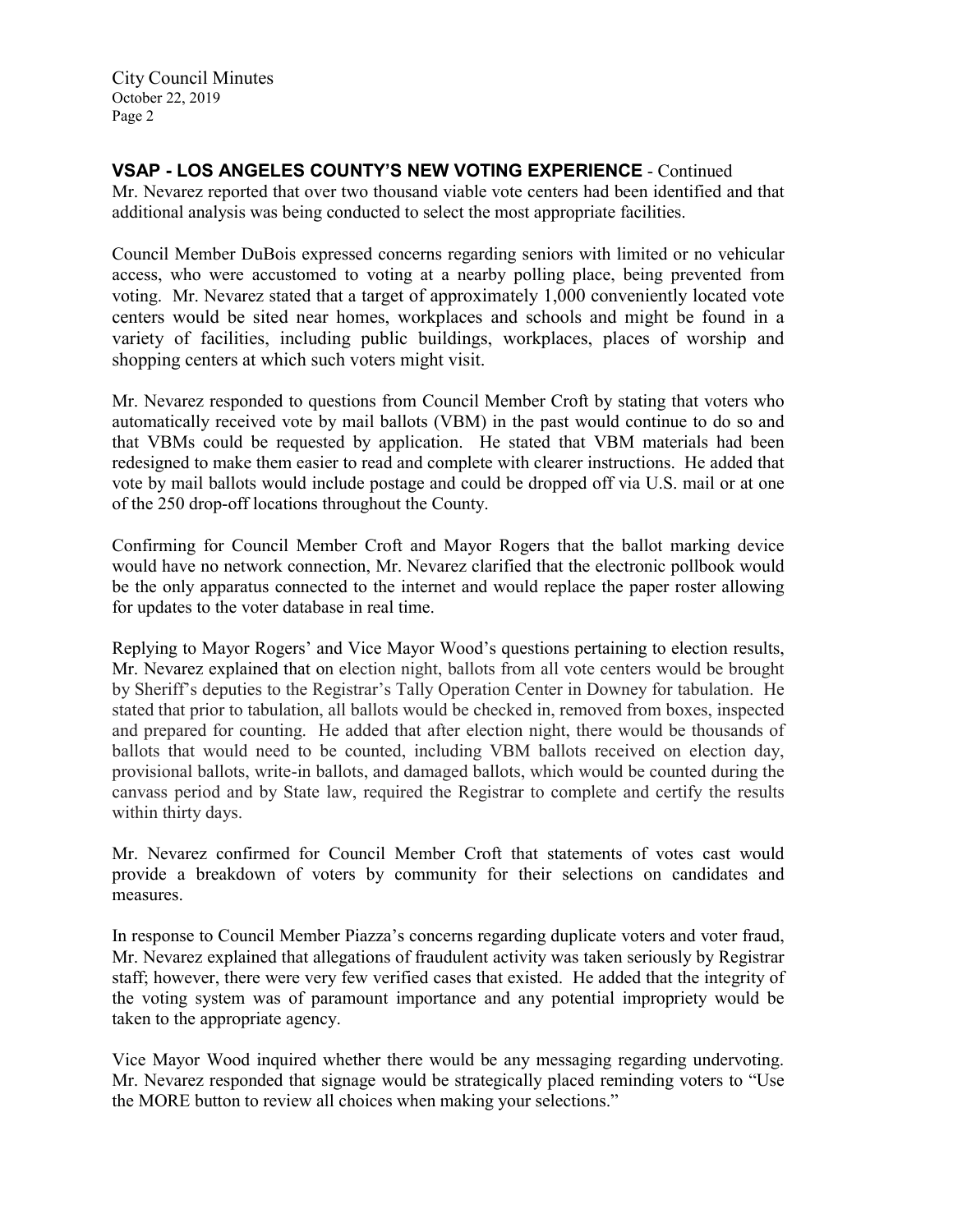City Council Minutes October 22, 2019 Page 2

## **VSAP - LOS ANGELES COUNTY'S NEW VOTING EXPERIENCE** - Continued

Mr. Nevarez reported that over two thousand viable vote centers had been identified and that additional analysis was being conducted to select the most appropriate facilities.

Council Member DuBois expressed concerns regarding seniors with limited or no vehicular access, who were accustomed to voting at a nearby polling place, being prevented from voting. Mr. Nevarez stated that a target of approximately 1,000 conveniently located vote centers would be sited near homes, workplaces and schools and might be found in a variety of facilities, including public buildings, workplaces, places of worship and shopping centers at which such voters might visit.

Mr. Nevarez responded to questions from Council Member Croft by stating that voters who automatically received vote by mail ballots (VBM) in the past would continue to do so and that VBMs could be requested by application. He stated that VBM materials had been redesigned to make them easier to read and complete with clearer instructions. He added that vote by mail ballots would include postage and could be dropped off via U.S. mail or at one of the 250 drop-off locations throughout the County.

Confirming for Council Member Croft and Mayor Rogers that the ballot marking device would have no network connection, Mr. Nevarez clarified that the electronic pollbook would be the only apparatus connected to the internet and would replace the paper roster allowing for updates to the voter database in real time.

Replying to Mayor Rogers' and Vice Mayor Wood's questions pertaining to election results, Mr. Nevarez explained that on election night, ballots from all vote centers would be brought by Sheriff's deputies to the Registrar's Tally Operation Center in Downey for tabulation. He stated that prior to tabulation, all ballots would be checked in, removed from boxes, inspected and prepared for counting. He added that after election night, there would be thousands of ballots that would need to be counted, including VBM ballots received on election day, provisional ballots, write-in ballots, and damaged ballots, which would be counted during the canvass period and by State law, required the Registrar to complete and certify the results within thirty days.

Mr. Nevarez confirmed for Council Member Croft that statements of votes cast would provide a breakdown of voters by community for their selections on candidates and measures.

In response to Council Member Piazza's concerns regarding duplicate voters and voter fraud, Mr. Nevarez explained that allegations of fraudulent activity was taken seriously by Registrar staff; however, there were very few verified cases that existed. He added that the integrity of the voting system was of paramount importance and any potential impropriety would be taken to the appropriate agency.

Vice Mayor Wood inquired whether there would be any messaging regarding undervoting. Mr. Nevarez responded that signage would be strategically placed reminding voters to "Use the MORE button to review all choices when making your selections."